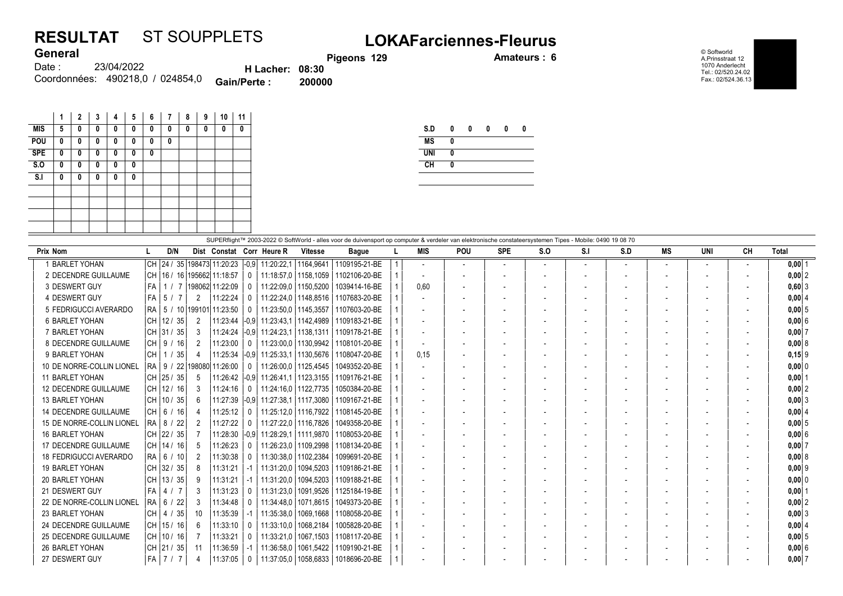## RESULTAT ST SOUPPLETS LOKAFarciennes-Fleurus General

Pigeons 129 **Amateurs : 6** 

© Softworld A.Prinsstraat 12 1070 Anderlecht Tel.: 02/520.24.02 Fax.: 02/524.36.13

| <b>VUIVIUI</b> |                                  |                        |        |
|----------------|----------------------------------|------------------------|--------|
| Date :         | 23/04/2022                       | <b>H</b> Lacher: 08:30 |        |
|                | Coordonnées: 490218.0 / 024854.0 | <b>Gain/Perte:</b>     | 200000 |

|                | 1 | $\mathbf{2}$ | 3 | 4 | 5 | 6 | 7 | 8 | 9 | 10 | 11 |
|----------------|---|--------------|---|---|---|---|---|---|---|----|----|
| <b>MIS</b>     | 5 | 0            | 0 | 0 | 0 | 0 | 0 | 0 | 0 | 0  | 0  |
| POU            | 0 | 0            | 0 | 0 | 0 | 0 | 0 |   |   |    |    |
| <b>SPE</b>     | 0 | 0            | 0 | 0 | 0 | 0 |   |   |   |    |    |
| S.0            | 0 | 0            | 0 | 0 | 0 |   |   |   |   |    |    |
| S <sub>1</sub> | 0 | 0            | 0 | 0 | 0 |   |   |   |   |    |    |
|                |   |              |   |   |   |   |   |   |   |    |    |
|                |   |              |   |   |   |   |   |   |   |    |    |
|                |   |              |   |   |   |   |   |   |   |    |    |
|                |   |              |   |   |   |   |   |   |   |    |    |

| S.D        | 0 | 0 | 0 | Λ | Λ |
|------------|---|---|---|---|---|
| <b>MS</b>  | 0 |   |   |   |   |
| <b>UNI</b> | 0 |   |   |   |   |
| CH         | 0 |   |   |   |   |
|            |   |   |   |   |   |

| SUPERflight™ 2003-2022 © SoftWorld - alles voor de duivensport op computer & verdeler van elektronische constateersystemen Tipes - Mobile: 0490 19 08 70 |       |              |  |                |                                 |                |                                                           |                        |               |  |                          |                          |                          |     |     |     |                |                          |                          |              |
|----------------------------------------------------------------------------------------------------------------------------------------------------------|-------|--------------|--|----------------|---------------------------------|----------------|-----------------------------------------------------------|------------------------|---------------|--|--------------------------|--------------------------|--------------------------|-----|-----|-----|----------------|--------------------------|--------------------------|--------------|
| Prix Nom                                                                                                                                                 |       | D/N          |  |                |                                 |                | Dist Constat Corr Heure R                                 | <b>Vitesse</b>         | <b>Bague</b>  |  | <b>MIS</b>               | <b>POU</b>               | <b>SPE</b>               | S.O | S.I | S.D | MS             | <b>UNI</b>               | CH                       | <b>Total</b> |
| <b>BARLET YOHAN</b>                                                                                                                                      |       |              |  |                | CH 24 / 35 198473 11:20:23      |                | $\left  -0.9 \right  11:20:22.1$                          | 1164.9641              | 1109195-21-BE |  |                          | $\overline{\phantom{a}}$ | $\overline{\phantom{a}}$ |     |     |     |                | $\overline{\phantom{a}}$ | $\overline{\phantom{a}}$ | $0,00$   1   |
| 2 DECENDRE GUILLAUME                                                                                                                                     |       |              |  |                | CH   16 / 16   195662  11:18:57 | $\mathbf{0}$   | 11:18:57.0 1158.1059                                      |                        | 1102106-20-BE |  |                          |                          |                          |     |     |     |                |                          |                          | 0.0012       |
| 3 DESWERT GUY                                                                                                                                            | l FA  |              |  |                | 1 / 7 198062 11:22:09           | $\Omega$       | 11:22:09.0   1150.5200                                    |                        | 1039414-16-BE |  | 0,60                     |                          |                          |     |     |     |                |                          |                          | $0,60$ 3     |
| 4 DESWERT GUY                                                                                                                                            | l FA- | 5/7          |  | 2              | 11:22:24                        | $\Omega$       | 11:22:24,0   1148,8516                                    |                        | 1107683-20-BE |  |                          |                          |                          |     |     |     |                |                          |                          | 0.0014       |
| 5 FEDRIGUCCI AVERARDO                                                                                                                                    | IRA I |              |  |                | 5 / 10 199101 11:23:50          | $\mathbf{0}$   | 11:23:50.0   1145.3557                                    |                        | 1107603-20-BE |  | $\overline{\phantom{a}}$ |                          |                          |     |     |     | $\blacksquare$ | $\overline{\phantom{a}}$ |                          | 0.0015       |
| <b>6 BARLET YOHAN</b>                                                                                                                                    |       | CH 12 / 35   |  | 2              | 11:23:44                        |                | $\left  -0.9 \right  11.23.43.1 \right  1142.4989$        |                        | 1109183-21-BE |  | $\overline{\phantom{a}}$ |                          |                          |     |     |     |                |                          |                          | 0.00 6       |
| 7 BARLET YOHAN                                                                                                                                           |       | CH  31 / 35  |  | 3              | 11:24:24                        |                | $ -0.9 $ 11:24:23.1   1138.1311                           |                        | 1109178-21-BE |  |                          |                          |                          |     |     |     |                |                          |                          | $0.00$ 7     |
| 8 DECENDRE GUILLAUME                                                                                                                                     |       | CH 9/16      |  | $\overline{2}$ | 11:23:00                        | $\Omega$       | 11:23:00.0   1130.9942                                    |                        | 1108101-20-BE |  |                          |                          |                          |     |     |     |                |                          |                          | 0,008        |
| 9 BARLET YOHAN                                                                                                                                           | l CH  | 1 / 35       |  | 4              | 11:25:34                        |                | $\left  -0.9 \right $ 11:25:33.1   1130.5676              |                        | 1108047-20-BE |  | 0.15                     |                          |                          |     |     |     |                |                          |                          | $0,15$  9    |
| 10 DE NORRE-COLLIN LIONEL                                                                                                                                |       |              |  |                | RA   9 / 22   198080   11:26:00 | $\mathbf{0}$   |                                                           | 11:26:00.0   1125.4545 | 1049352-20-BE |  |                          |                          |                          |     |     |     |                |                          |                          | $0,00$ 0     |
| 11 BARLET YOHAN                                                                                                                                          |       | CH 25 / 35   |  | -5             | 11:26:42                        |                | $\left  -0.9 \right  11.26.41.1 \left  1123.3155 \right $ |                        | 1109176-21-BE |  |                          |                          |                          |     |     |     |                |                          |                          | 0.0011       |
| <b>12 DECENDRE GUILLAUME</b>                                                                                                                             |       | CH   12 / 16 |  | 3              | 11:24:16                        | $^{\circ}$     | 11:24:16.0   1122.7735                                    |                        | 1050384-20-BE |  |                          |                          |                          |     |     |     |                |                          |                          | 0.0012       |
| 13 BARLET YOHAN                                                                                                                                          |       | CH 10 / 35   |  | 6              | 11:27:39                        |                | -0.9 11:27:38.1 1117.3080                                 |                        | 1109167-21-BE |  | $\overline{\phantom{a}}$ |                          |                          |     |     |     |                |                          |                          | 0.0013       |
| <b>14 DECENDRE GUILLAUME</b>                                                                                                                             |       | CH   6 / 16  |  | 4              | 11:25:12                        | $\Omega$       | 11:25:12.0   1116.7922                                    |                        | 1108145-20-BE |  | $\overline{\phantom{a}}$ |                          |                          |     |     |     |                |                          |                          | $0,00$ 4     |
| 15 DE NORRE-COLLIN LIONEL                                                                                                                                |       | RA   8 / 22  |  | 2              | 11:27:22                        | $\Omega$       | 11:27:22,0   1116,7826                                    |                        | 1049358-20-BE |  |                          |                          |                          |     |     |     |                |                          |                          | 0.0015       |
| 16 BARLET YOHAN                                                                                                                                          |       | CH  22 / 35  |  |                | 11:28:30                        |                | $\left  -0.9 \right $ 11:28:29.1   1111.9870              |                        | 1108053-20-BE |  |                          |                          |                          |     |     |     |                |                          |                          | 0.0016       |
| 17 DECENDRE GUILLAUME                                                                                                                                    |       | CH   14 / 16 |  | 5              | 11:26:23                        | $^{\circ}$     |                                                           | 11:26:23.0   1109.2998 | 1108134-20-BE |  |                          |                          |                          |     |     |     |                |                          |                          | $0.00$ 7     |
| <b>18 FEDRIGUCCI AVERARDO</b>                                                                                                                            |       | RA   6 / 10  |  | 2              | 11:30:38                        | $\Omega$       | 11:30:38,0   1102,2384                                    |                        | 1099691-20-BE |  |                          |                          |                          |     |     |     |                |                          |                          | $0.00$ 8     |
| <b>19 BARLET YOHAN</b>                                                                                                                                   |       | CH 32 / 35   |  | 8              | 11:31:21                        | -1             | 11:31:20.0   1094.5203                                    |                        | 1109186-21-BE |  |                          |                          |                          |     |     |     |                |                          |                          | $0,00$ 9     |
| 20 BARLET YOHAN                                                                                                                                          |       | CH 13/35     |  | 9              | 11:31:21                        | $-1$           | $11:31:20.0$   1094,5203                                  |                        | 1109188-21-BE |  |                          |                          |                          |     |     |     |                |                          |                          | 0.00 0       |
| 21 DESWERT GUY                                                                                                                                           | FA    | 4/7          |  | 3              | 11:31:23                        | $\overline{0}$ | 11:31:23,0                                                | 1091.9526              | 1125184-19-BE |  | $\overline{\phantom{a}}$ |                          |                          |     |     |     |                |                          |                          | $0,00$   1   |
| 22 DE NORRE-COLLIN LIONEL                                                                                                                                |       | RA   6 / 22  |  | 3              | 11:34:48                        |                |                                                           | 11:34:48.0   1071.8615 | 1049373-20-BE |  |                          |                          |                          |     |     |     |                |                          |                          | $0.00$  2    |
| 23 BARLET YOHAN                                                                                                                                          |       | CH   4 / 35  |  | 10             | 11:35:39                        | -1             | 11:35:38.0                                                | 1069.1668              | 1108058-20-BE |  |                          |                          |                          |     |     |     |                |                          |                          | $0.00$ 3     |
| 24 DECENDRE GUILLAUME                                                                                                                                    |       | CH   15 / 16 |  | 6              | 11:33:10                        | $\Omega$       |                                                           | 11:33:10,0   1068,2184 | 1005828-20-BE |  |                          |                          |                          |     |     |     |                |                          |                          | $0,00$ 4     |
| 25 DECENDRE GUILLAUME                                                                                                                                    |       | CH   10 / 16 |  |                | 11:33:21                        | $\Omega$       | 11:33:21,0                                                | 1067,1503              | 1108117-20-BE |  |                          |                          |                          |     |     |     |                |                          |                          | 0,0015       |
| 26 BARLET YOHAN                                                                                                                                          |       | CH  21 / 35  |  | 11             | 11:36:59                        | -1             |                                                           | 11:36:58.0   1061.5422 | 1109190-21-BE |  |                          |                          |                          |     |     |     |                |                          |                          | $0.00$ 6     |
| 27 DESWERT GUY                                                                                                                                           |       | FA 7 / 7     |  | 4              | 11:37:05                        | $\mathbf 0$    | $11:37:05.0$   1058.6833                                  |                        | 1018696-20-BE |  |                          |                          |                          |     |     |     |                |                          |                          | $0,00$ 7     |